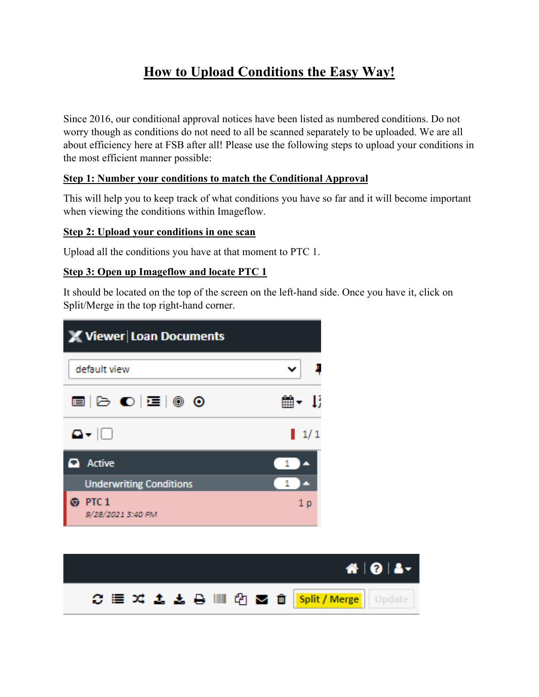# **How to Upload Conditions the Easy Way!**

Since 2016, our conditional approval notices have been listed as numbered conditions. Do not worry though as conditions do not need to all be scanned separately to be uploaded. We are all about efficiency here at FSB after all! Please use the following steps to upload your conditions in the most efficient manner possible:

# **Step 1: Number your conditions to match the Conditional Approval**

This will help you to keep track of what conditions you have so far and it will become important when viewing the conditions within Imageflow.

### **Step 2: Upload your conditions in one scan**

Upload all the conditions you have at that moment to PTC 1.

# **Step 3: Open up Imageflow and locate PTC 1**

It should be located on the top of the screen on the left-hand side. Once you have it, click on Split/Merge in the top right-hand corner.